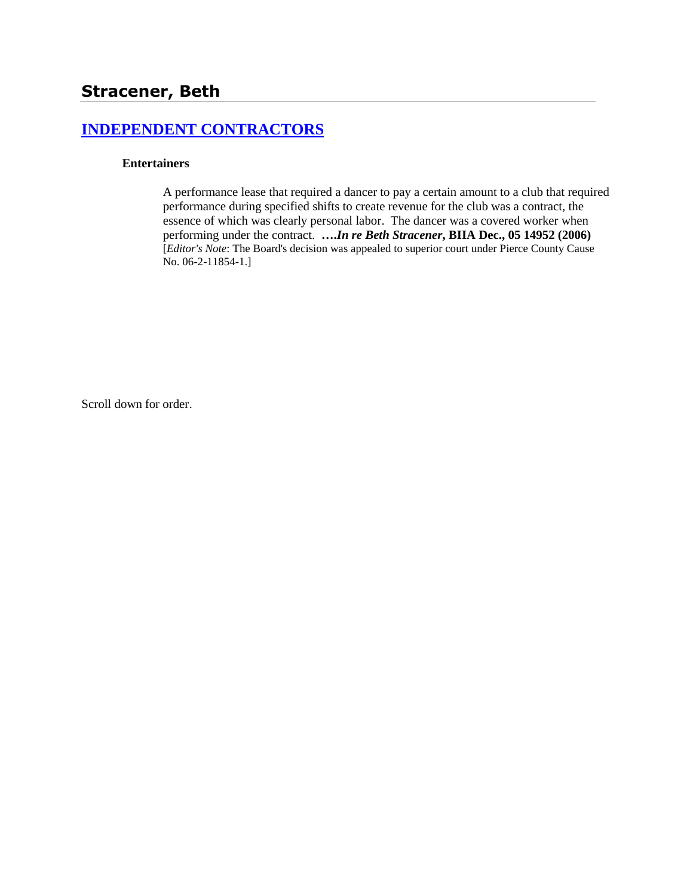# **[INDEPENDENT CONTRACTORS](http://www.biia.wa.gov/SDSubjectIndex.html#INDEPENDENT_CONTRACTORS)**

#### **Entertainers**

A performance lease that required a dancer to pay a certain amount to a club that required performance during specified shifts to create revenue for the club was a contract, the essence of which was clearly personal labor. The dancer was a covered worker when performing under the contract. **….***In re Beth Stracener***, BIIA Dec., 05 14952 (2006)** [*Editor's Note*: The Board's decision was appealed to superior court under Pierce County Cause No. 06-2-11854-1.]

Scroll down for order.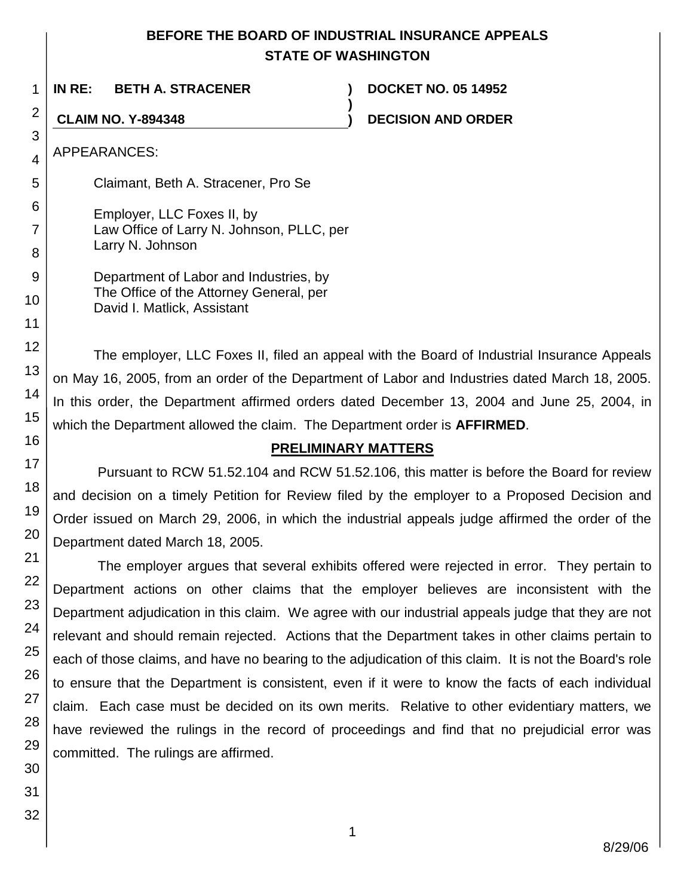## **BEFORE THE BOARD OF INDUSTRIAL INSURANCE APPEALS STATE OF WASHINGTON**

**)**

**IN RE: BETH A. STRACENER ) DOCKET NO. 05 14952**

**CLAIM NO. Y-894348 ) DECISION AND ORDER**

APPEARANCES:

Claimant, Beth A. Stracener, Pro Se

Employer, LLC Foxes II, by Law Office of Larry N. Johnson, PLLC, per Larry N. Johnson

Department of Labor and Industries, by The Office of the Attorney General, per David I. Matlick, Assistant

The employer, LLC Foxes II, filed an appeal with the Board of Industrial Insurance Appeals on May 16, 2005, from an order of the Department of Labor and Industries dated March 18, 2005. In this order, the Department affirmed orders dated December 13, 2004 and June 25, 2004, in which the Department allowed the claim. The Department order is **AFFIRMED**.

## **PRELIMINARY MATTERS**

Pursuant to RCW 51.52.104 and RCW 51.52.106, this matter is before the Board for review and decision on a timely Petition for Review filed by the employer to a Proposed Decision and Order issued on March 29, 2006, in which the industrial appeals judge affirmed the order of the Department dated March 18, 2005.

The employer argues that several exhibits offered were rejected in error. They pertain to Department actions on other claims that the employer believes are inconsistent with the Department adjudication in this claim. We agree with our industrial appeals judge that they are not relevant and should remain rejected. Actions that the Department takes in other claims pertain to each of those claims, and have no bearing to the adjudication of this claim. It is not the Board's role to ensure that the Department is consistent, even if it were to know the facts of each individual claim. Each case must be decided on its own merits. Relative to other evidentiary matters, we have reviewed the rulings in the record of proceedings and find that no prejudicial error was committed. The rulings are affirmed.

1

2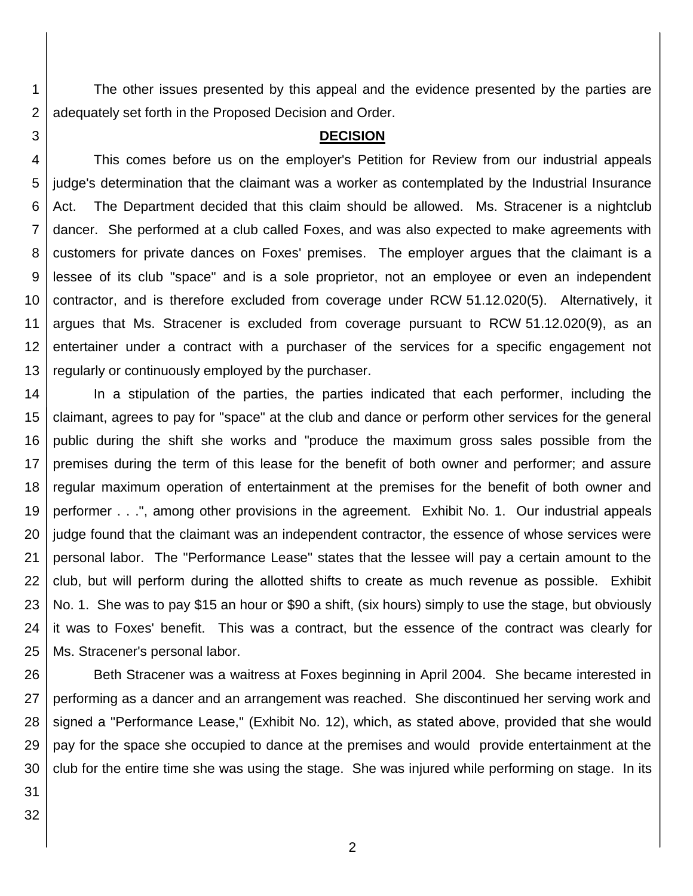The other issues presented by this appeal and the evidence presented by the parties are adequately set forth in the Proposed Decision and Order.

#### **DECISION**

4 5 6 7 8 9 10 11 12 13 This comes before us on the employer's Petition for Review from our industrial appeals judge's determination that the claimant was a worker as contemplated by the Industrial Insurance Act. The Department decided that this claim should be allowed. Ms. Stracener is a nightclub dancer. She performed at a club called Foxes, and was also expected to make agreements with customers for private dances on Foxes' premises. The employer argues that the claimant is a lessee of its club "space" and is a sole proprietor, not an employee or even an independent contractor, and is therefore excluded from coverage under RCW 51.12.020(5). Alternatively, it argues that Ms. Stracener is excluded from coverage pursuant to RCW 51.12.020(9), as an entertainer under a contract with a purchaser of the services for a specific engagement not regularly or continuously employed by the purchaser.

14 15 16 17 18 19 20 21 22 23 24 25 In a stipulation of the parties, the parties indicated that each performer, including the claimant, agrees to pay for "space" at the club and dance or perform other services for the general public during the shift she works and "produce the maximum gross sales possible from the premises during the term of this lease for the benefit of both owner and performer; and assure regular maximum operation of entertainment at the premises for the benefit of both owner and performer . . .", among other provisions in the agreement. Exhibit No. 1. Our industrial appeals judge found that the claimant was an independent contractor, the essence of whose services were personal labor. The "Performance Lease" states that the lessee will pay a certain amount to the club, but will perform during the allotted shifts to create as much revenue as possible. Exhibit No. 1. She was to pay \$15 an hour or \$90 a shift, (six hours) simply to use the stage, but obviously it was to Foxes' benefit. This was a contract, but the essence of the contract was clearly for Ms. Stracener's personal labor.

26 27 28 29 30 Beth Stracener was a waitress at Foxes beginning in April 2004. She became interested in performing as a dancer and an arrangement was reached. She discontinued her serving work and signed a "Performance Lease," (Exhibit No. 12), which, as stated above, provided that she would pay for the space she occupied to dance at the premises and would provide entertainment at the club for the entire time she was using the stage. She was injured while performing on stage. In its

3

31

32

1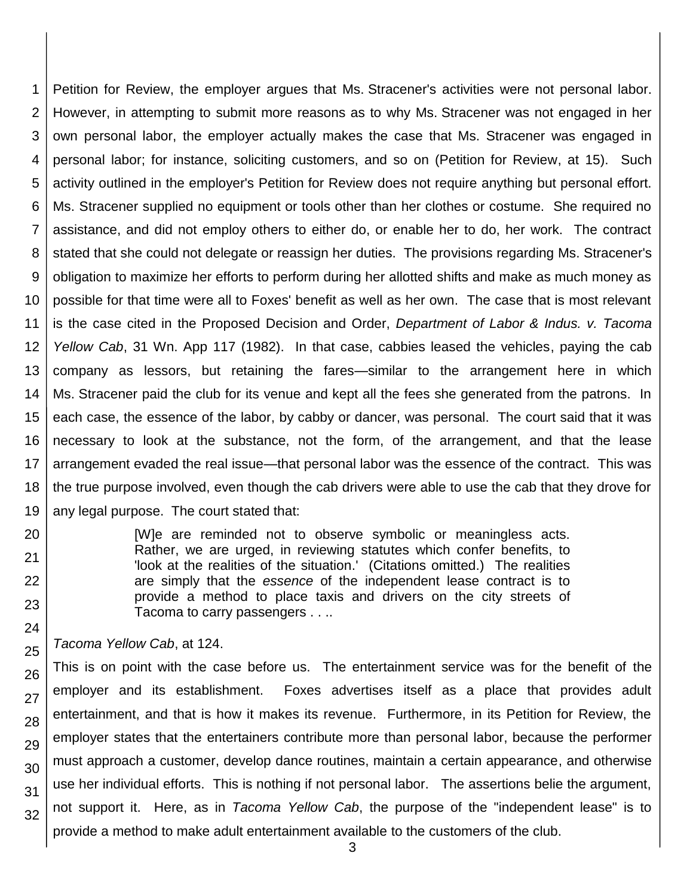1 2 3 4 5 6 7 8 9 10 11 12 13 14 15 16 17 18 19 Petition for Review, the employer argues that Ms. Stracener's activities were not personal labor. However, in attempting to submit more reasons as to why Ms. Stracener was not engaged in her own personal labor, the employer actually makes the case that Ms. Stracener was engaged in personal labor; for instance, soliciting customers, and so on (Petition for Review, at 15). Such activity outlined in the employer's Petition for Review does not require anything but personal effort. Ms. Stracener supplied no equipment or tools other than her clothes or costume. She required no assistance, and did not employ others to either do, or enable her to do, her work. The contract stated that she could not delegate or reassign her duties. The provisions regarding Ms. Stracener's obligation to maximize her efforts to perform during her allotted shifts and make as much money as possible for that time were all to Foxes' benefit as well as her own. The case that is most relevant is the case cited in the Proposed Decision and Order, *Department of Labor & Indus. v. Tacoma Yellow Cab*, 31 Wn. App 117 (1982). In that case, cabbies leased the vehicles, paying the cab company as lessors, but retaining the fares—similar to the arrangement here in which Ms. Stracener paid the club for its venue and kept all the fees she generated from the patrons. In each case, the essence of the labor, by cabby or dancer, was personal. The court said that it was necessary to look at the substance, not the form, of the arrangement, and that the lease arrangement evaded the real issue—that personal labor was the essence of the contract. This was the true purpose involved, even though the cab drivers were able to use the cab that they drove for any legal purpose. The court stated that:

> [W]e are reminded not to observe symbolic or meaningless acts. Rather, we are urged, in reviewing statutes which confer benefits, to 'look at the realities of the situation.' (Citations omitted.) The realities are simply that the *essence* of the independent lease contract is to provide a method to place taxis and drivers on the city streets of Tacoma to carry passengers . . ..

*Tacoma Yellow Cab*, at 124.

20

21 22

23

24 25

26 27 28 29 30 31 32 This is on point with the case before us. The entertainment service was for the benefit of the employer and its establishment. Foxes advertises itself as a place that provides adult entertainment, and that is how it makes its revenue. Furthermore, in its Petition for Review, the employer states that the entertainers contribute more than personal labor, because the performer must approach a customer, develop dance routines, maintain a certain appearance, and otherwise use her individual efforts. This is nothing if not personal labor. The assertions belie the argument, not support it. Here, as in *Tacoma Yellow Cab*, the purpose of the "independent lease" is to provide a method to make adult entertainment available to the customers of the club.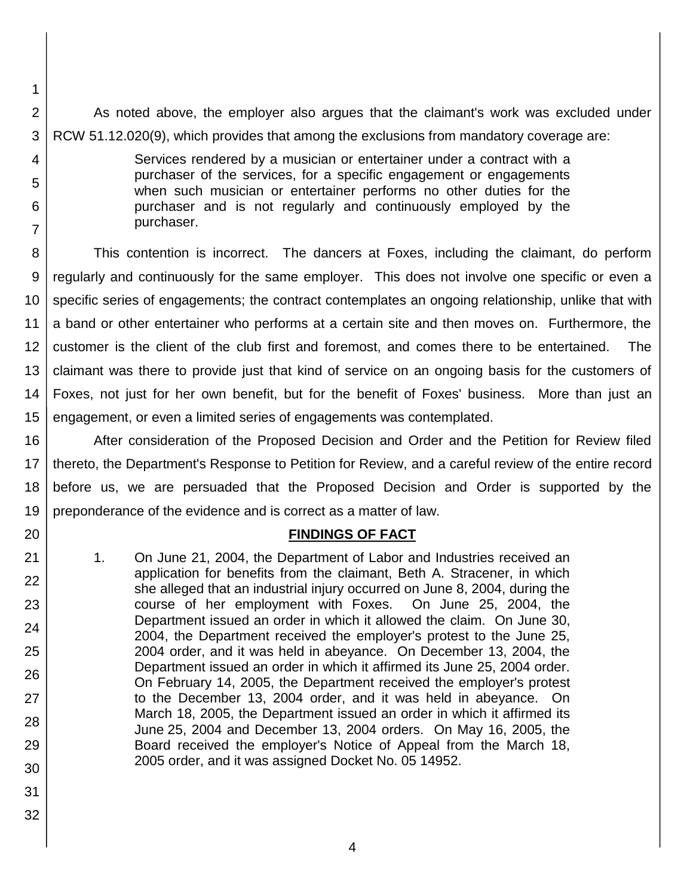2 3 As noted above, the employer also argues that the claimant's work was excluded under RCW 51.12.020(9), which provides that among the exclusions from mandatory coverage are:

> Services rendered by a musician or entertainer under a contract with a purchaser of the services, for a specific engagement or engagements when such musician or entertainer performs no other duties for the purchaser and is not regularly and continuously employed by the purchaser.

8 9 10 11 12 13 14 15 This contention is incorrect. The dancers at Foxes, including the claimant, do perform regularly and continuously for the same employer. This does not involve one specific or even a specific series of engagements; the contract contemplates an ongoing relationship, unlike that with a band or other entertainer who performs at a certain site and then moves on. Furthermore, the customer is the client of the club first and foremost, and comes there to be entertained. The claimant was there to provide just that kind of service on an ongoing basis for the customers of Foxes, not just for her own benefit, but for the benefit of Foxes' business. More than just an engagement, or even a limited series of engagements was contemplated.

16 17 18 19 After consideration of the Proposed Decision and Order and the Petition for Review filed thereto, the Department's Response to Petition for Review, and a careful review of the entire record before us, we are persuaded that the Proposed Decision and Order is supported by the preponderance of the evidence and is correct as a matter of law.

#### **FINDINGS OF FACT**

- 1. On June 21, 2004, the Department of Labor and Industries received an application for benefits from the claimant, Beth A. Stracener, in which she alleged that an industrial injury occurred on June 8, 2004, during the course of her employment with Foxes. On June 25, 2004, the Department issued an order in which it allowed the claim. On June 30, 2004, the Department received the employer's protest to the June 25, 2004 order, and it was held in abeyance. On December 13, 2004, the Department issued an order in which it affirmed its June 25, 2004 order. On February 14, 2005, the Department received the employer's protest to the December 13, 2004 order, and it was held in abeyance. On March 18, 2005, the Department issued an order in which it affirmed its June 25, 2004 and December 13, 2004 orders. On May 16, 2005, the Board received the employer's Notice of Appeal from the March 18, 2005 order, and it was assigned Docket No. 05 14952.
- 31 32

20

21

22

23

24

25

26

27

28

29

30

1

4

5

6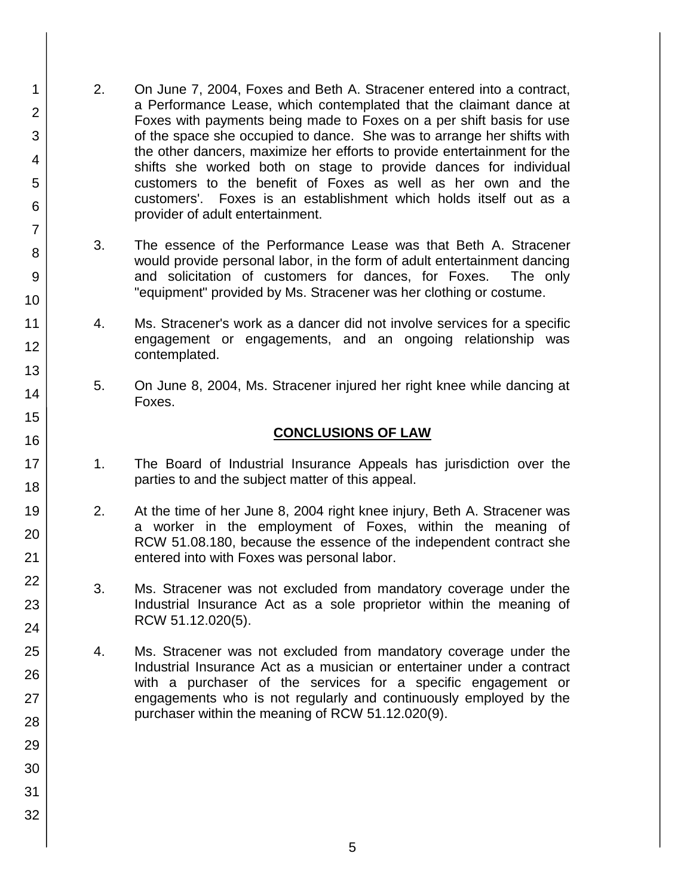- 2. On June 7, 2004, Foxes and Beth A. Stracener entered into a contract, a Performance Lease, which contemplated that the claimant dance at Foxes with payments being made to Foxes on a per shift basis for use of the space she occupied to dance. She was to arrange her shifts with the other dancers, maximize her efforts to provide entertainment for the shifts she worked both on stage to provide dances for individual customers to the benefit of Foxes as well as her own and the customers'. Foxes is an establishment which holds itself out as a provider of adult entertainment.
	- 3. The essence of the Performance Lease was that Beth A. Stracener would provide personal labor, in the form of adult entertainment dancing and solicitation of customers for dances, for Foxes. The only "equipment" provided by Ms. Stracener was her clothing or costume.
	- 4. Ms. Stracener's work as a dancer did not involve services for a specific engagement or engagements, and an ongoing relationship was contemplated.
	- 5. On June 8, 2004, Ms. Stracener injured her right knee while dancing at Foxes.

### **CONCLUSIONS OF LAW**

- 1. The Board of Industrial Insurance Appeals has jurisdiction over the parties to and the subject matter of this appeal.
- 2. At the time of her June 8, 2004 right knee injury, Beth A. Stracener was a worker in the employment of Foxes, within the meaning of RCW 51.08.180, because the essence of the independent contract she entered into with Foxes was personal labor.
- 3. Ms. Stracener was not excluded from mandatory coverage under the Industrial Insurance Act as a sole proprietor within the meaning of RCW 51.12.020(5).
- 4. Ms. Stracener was not excluded from mandatory coverage under the Industrial Insurance Act as a musician or entertainer under a contract with a purchaser of the services for a specific engagement or engagements who is not regularly and continuously employed by the purchaser within the meaning of RCW 51.12.020(9).
- 1 2 3 4 5 6 7 8 9 10 11 12 13 14 15 16 17 18 19 20 21 22 23 24 25 26 27 28 29 30 31 32